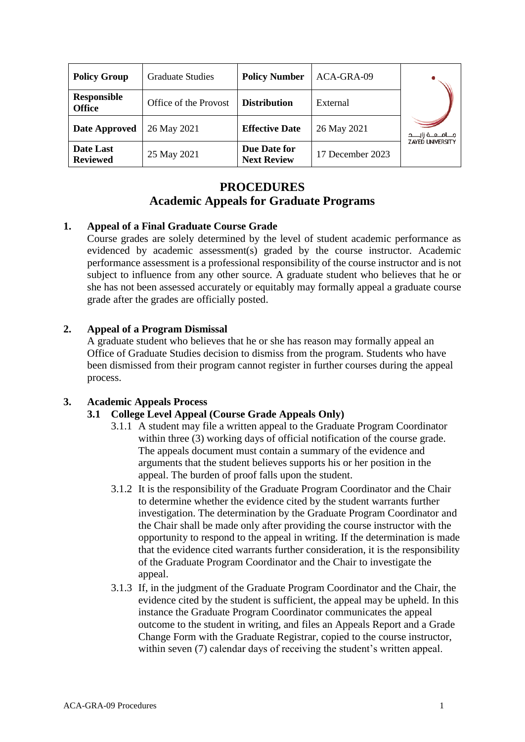| <b>Policy Group</b>          | <b>Graduate Studies</b> | <b>Policy Number</b>               | ACA-GRA-09       |                          |
|------------------------------|-------------------------|------------------------------------|------------------|--------------------------|
| Responsible<br><b>Office</b> | Office of the Provost   | <b>Distribution</b>                | External         |                          |
| Date Approved                | 26 May 2021             | <b>Effective Date</b>              | 26 May 2021      | مــــامـــــه زايــــــد |
| Date Last<br><b>Reviewed</b> | 25 May 2021             | Due Date for<br><b>Next Review</b> | 17 December 2023 | <b>ZAYED UNIVERSITY</b>  |

# **PROCEDURES Academic Appeals for Graduate Programs**

### **1. Appeal of a Final Graduate Course Grade**

Course grades are solely determined by the level of student academic performance as evidenced by academic assessment(s) graded by the course instructor. Academic performance assessment is a professional responsibility of the course instructor and is not subject to influence from any other source. A graduate student who believes that he or she has not been assessed accurately or equitably may formally appeal a graduate course grade after the grades are officially posted.

### **2. Appeal of a Program Dismissal**

A graduate student who believes that he or she has reason may formally appeal an Office of Graduate Studies decision to dismiss from the program. Students who have been dismissed from their program cannot register in further courses during the appeal process.

## **3. Academic Appeals Process**

### **3.1 College Level Appeal (Course Grade Appeals Only)**

- 3.1.1 A student may file a written appeal to the Graduate Program Coordinator within three (3) working days of official notification of the course grade. The appeals document must contain a summary of the evidence and arguments that the student believes supports his or her position in the appeal. The burden of proof falls upon the student.
- 3.1.2 It is the responsibility of the Graduate Program Coordinator and the Chair to determine whether the evidence cited by the student warrants further investigation. The determination by the Graduate Program Coordinator and the Chair shall be made only after providing the course instructor with the opportunity to respond to the appeal in writing. If the determination is made that the evidence cited warrants further consideration, it is the responsibility of the Graduate Program Coordinator and the Chair to investigate the appeal.
- 3.1.3 If, in the judgment of the Graduate Program Coordinator and the Chair, the evidence cited by the student is sufficient, the appeal may be upheld. In this instance the Graduate Program Coordinator communicates the appeal outcome to the student in writing, and files an Appeals Report and a Grade Change Form with the Graduate Registrar, copied to the course instructor, within seven (7) calendar days of receiving the student's written appeal.